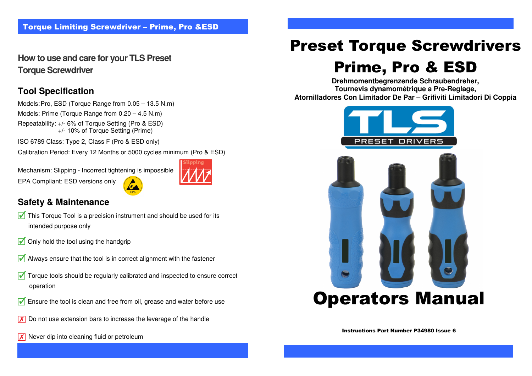**How to use and care for your TLS Preset Torque Screwdriver** 

## **Tool Specification**

Models: Pro, ESD (Torque Range from 0.05 – 13.5 N.m)

- Models: Prime (Torque Range from 0.20 4.5 N.m)
- Repeatability: +/- 6% of Torque Setting (Pro & ESD)+/- 10% of Torque Setting (Prime)

ISO 6789 Class: Type 2, Class F (Pro & ESD only)

Calibration Period: Every 12 Months or 5000 cycles minimum (Pro & ESD)

Mechanism: Slipping - Incorrect tightening is impossible EPA Compliant: ESD versions only



## **Safety & Maintenance**

- $\sqrt{\phantom{a}}$  This Torque Tool is a precision instrument and should be used for its intended purpose only
- $\sqrt{\phantom{a}}$  Only hold the tool using the handgrip
- $\sqrt{\phantom{a}}$  Always ensure that the tool is in correct alignment with the fastener
- $\sqrt{ }$  Torque tools should be regularly calibrated and inspected to ensure correct operation
- $\sqrt{\phantom{a}}$  Ensure the tool is clean and free from oil, grease and water before use
- $\overline{X}$  Do not use extension bars to increase the leverage of the handle
- $\overline{X}$  Never dip into cleaning fluid or petroleum

# Preset Torque Screwdrivers

# Prime, Pro & ESD

 **Tournevis dynamométrique a Pre-Reglage, Drehmomentbegrenzende Schraubendreher,Atornilladores Con Limitador De Par – Grifiviti Limitadori Di Coppia**



Instructions Part Number P34980 Issue 6